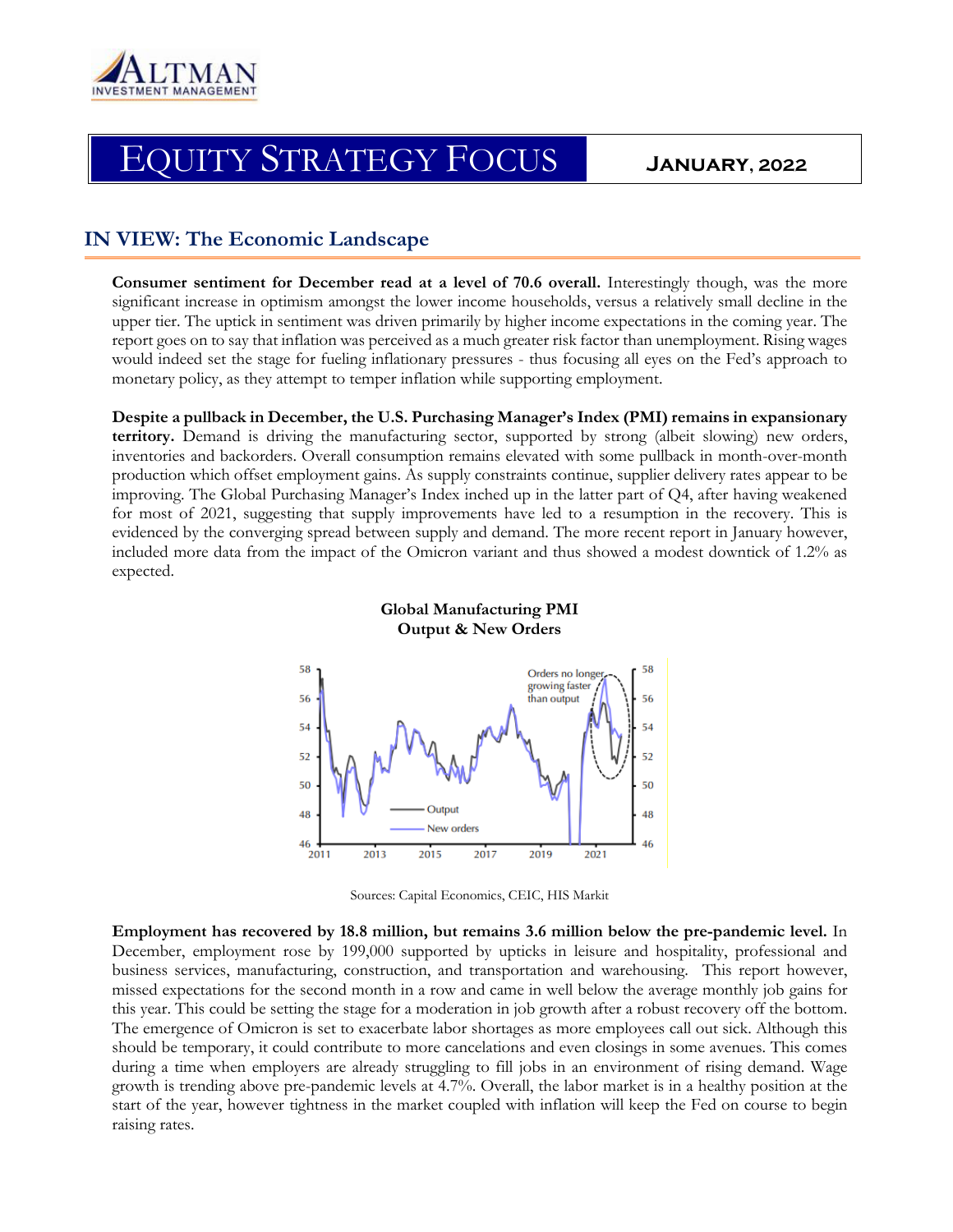

# EQUITY STRATEGY FOCUS **January, 2022**

# **IN VIEW: The Economic Landscape**

**Consumer sentiment for December read at a level of 70.6 overall.** Interestingly though, was the more significant increase in optimism amongst the lower income households, versus a relatively small decline in the upper tier. The uptick in sentiment was driven primarily by higher income expectations in the coming year. The report goes on to say that inflation was perceived as a much greater risk factor than unemployment. Rising wages would indeed set the stage for fueling inflationary pressures - thus focusing all eyes on the Fed's approach to monetary policy, as they attempt to temper inflation while supporting employment.

**Despite a pullback in December, the U.S. Purchasing Manager's Index (PMI) remains in expansionary territory.** Demand is driving the manufacturing sector, supported by strong (albeit slowing) new orders, inventories and backorders. Overall consumption remains elevated with some pullback in month-over-month production which offset employment gains. As supply constraints continue, supplier delivery rates appear to be improving. The Global Purchasing Manager's Index inched up in the latter part of Q4, after having weakened for most of 2021, suggesting that supply improvements have led to a resumption in the recovery. This is evidenced by the converging spread between supply and demand. The more recent report in January however, included more data from the impact of the Omicron variant and thus showed a modest downtick of 1.2% as expected.



**Global Manufacturing PMI Output & New Orders**

Sources: Capital Economics, CEIC, HIS Markit

**Employment has recovered by 18.8 million, but remains 3.6 million below the pre-pandemic level.** In December, employment rose by 199,000 supported by upticks in leisure and hospitality, professional and business services, manufacturing, construction, and transportation and warehousing. This report however, missed expectations for the second month in a row and came in well below the average monthly job gains for this year. This could be setting the stage for a moderation in job growth after a robust recovery off the bottom. The emergence of Omicron is set to exacerbate labor shortages as more employees call out sick. Although this should be temporary, it could contribute to more cancelations and even closings in some avenues. This comes during a time when employers are already struggling to fill jobs in an environment of rising demand. Wage growth is trending above pre-pandemic levels at 4.7%. Overall, the labor market is in a healthy position at the start of the year, however tightness in the market coupled with inflation will keep the Fed on course to begin raising rates.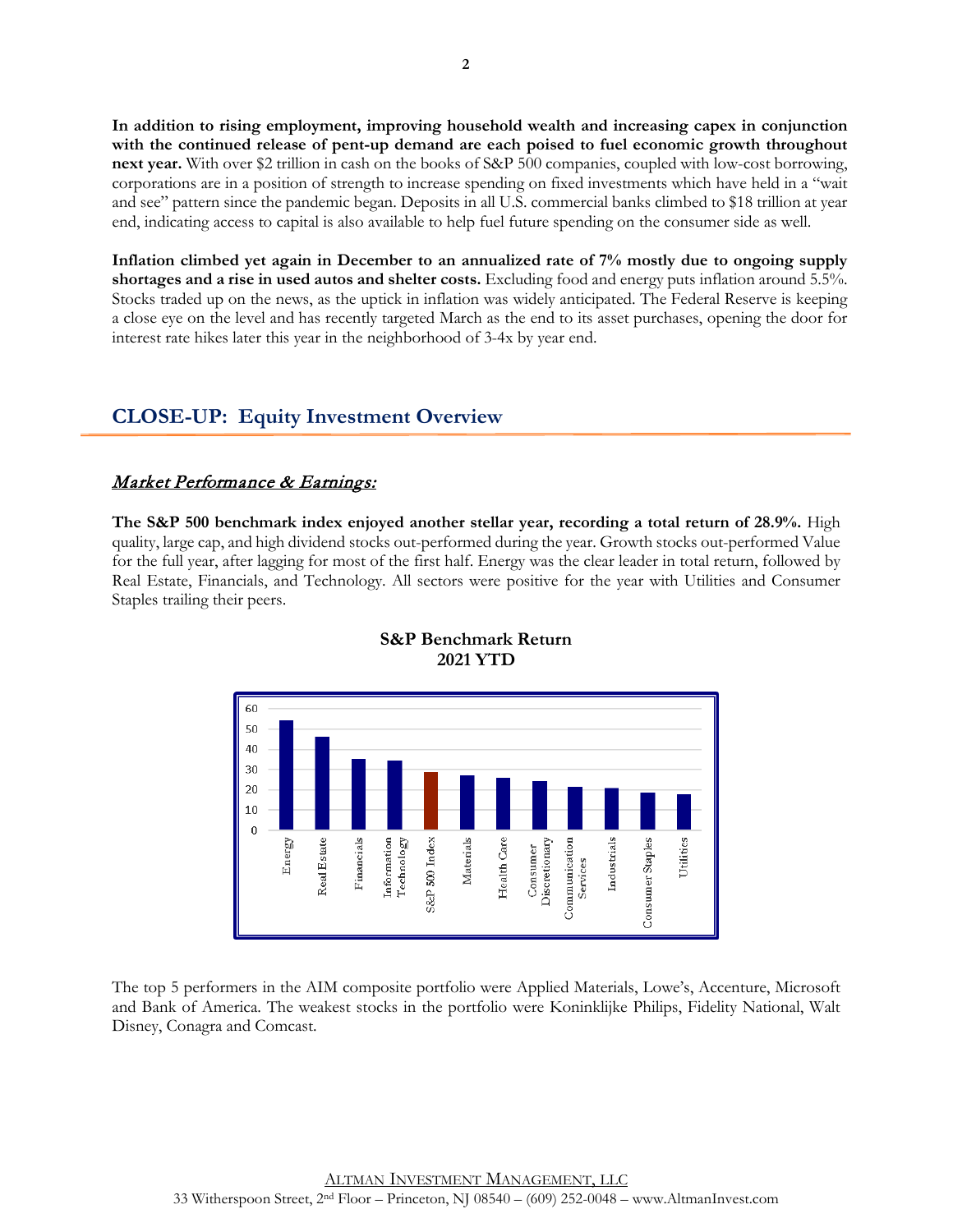**In addition to rising employment, improving household wealth and increasing capex in conjunction with the continued release of pent-up demand are each poised to fuel economic growth throughout next year.** With over \$2 trillion in cash on the books of S&P 500 companies, coupled with low-cost borrowing, corporations are in a position of strength to increase spending on fixed investments which have held in a "wait and see" pattern since the pandemic began. Deposits in all U.S. commercial banks climbed to \$18 trillion at year end, indicating access to capital is also available to help fuel future spending on the consumer side as well.

**Inflation climbed yet again in December to an annualized rate of 7% mostly due to ongoing supply shortages and a rise in used autos and shelter costs.** Excluding food and energy puts inflation around 5.5%. Stocks traded up on the news, as the uptick in inflation was widely anticipated. The Federal Reserve is keeping a close eye on the level and has recently targeted March as the end to its asset purchases, opening the door for interest rate hikes later this year in the neighborhood of 3-4x by year end.

# **CLOSE-UP: Equity Investment Overview**

### Market Performance & Earnings:

**The S&P 500 benchmark index enjoyed another stellar year, recording a total return of 28.9%.** High quality, large cap, and high dividend stocks out-performed during the year. Growth stocks out-performed Value for the full year, after lagging for most of the first half. Energy was the clear leader in total return, followed by Real Estate, Financials, and Technology. All sectors were positive for the year with Utilities and Consumer Staples trailing their peers.



#### **S&P Benchmark Return 2021 YTD**

The top 5 performers in the AIM composite portfolio were Applied Materials, Lowe's, Accenture, Microsoft and Bank of America. The weakest stocks in the portfolio were Koninklijke Philips, Fidelity National, Walt Disney, Conagra and Comcast.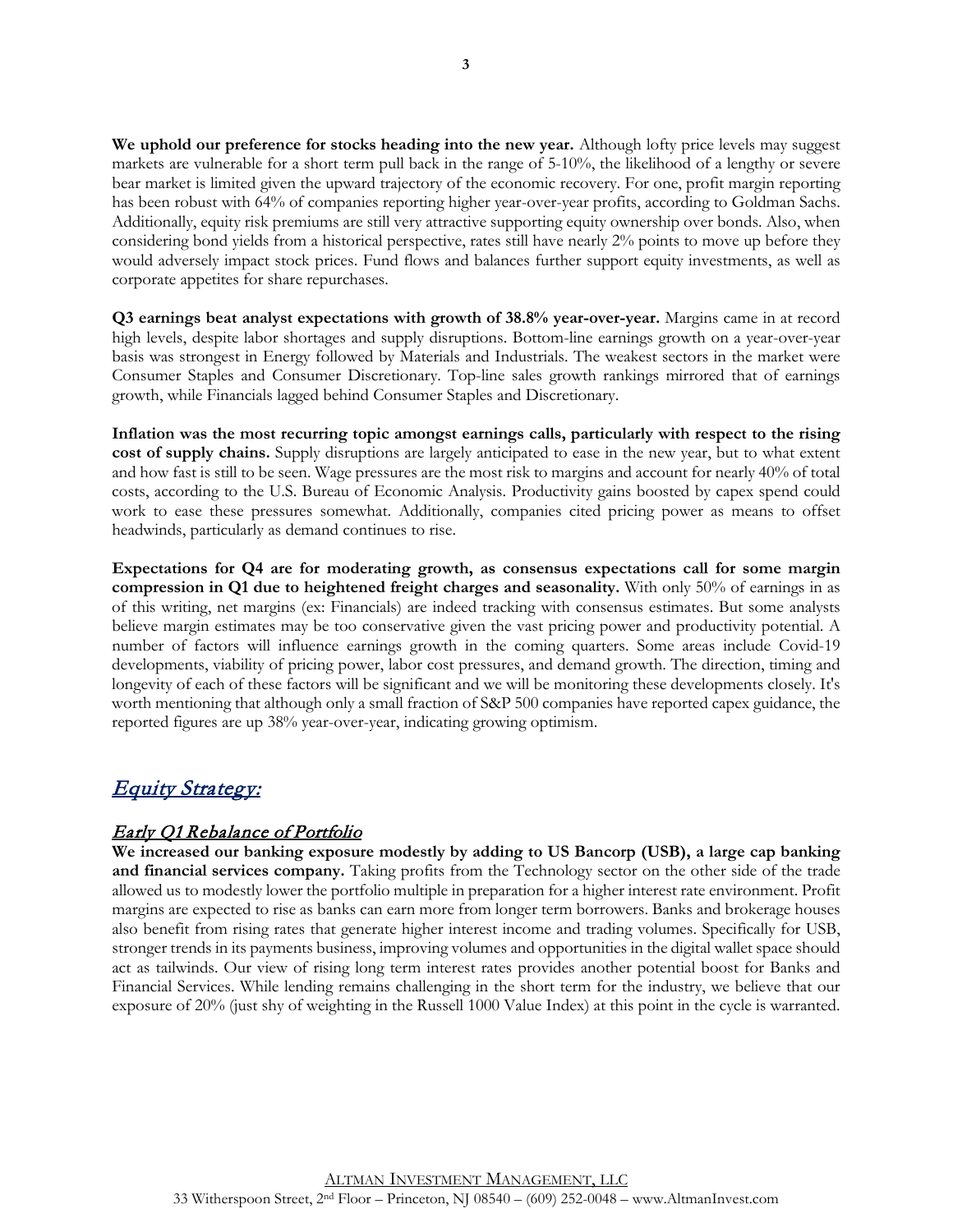**We uphold our preference for stocks heading into the new year.** Although lofty price levels may suggest markets are vulnerable for a short term pull back in the range of 5-10%, the likelihood of a lengthy or severe bear market is limited given the upward trajectory of the economic recovery. For one, profit margin reporting has been robust with 64% of companies reporting higher year-over-year profits, according to Goldman Sachs. Additionally, equity risk premiums are still very attractive supporting equity ownership over bonds. Also, when considering bond yields from a historical perspective, rates still have nearly 2% points to move up before they would adversely impact stock prices. Fund flows and balances further support equity investments, as well as corporate appetites for share repurchases.

**Q3 earnings beat analyst expectations with growth of 38.8% year-over-year.** Margins came in at record high levels, despite labor shortages and supply disruptions. Bottom-line earnings growth on a year-over-year basis was strongest in Energy followed by Materials and Industrials. The weakest sectors in the market were Consumer Staples and Consumer Discretionary. Top-line sales growth rankings mirrored that of earnings growth, while Financials lagged behind Consumer Staples and Discretionary.

**Inflation was the most recurring topic amongst earnings calls, particularly with respect to the rising cost of supply chains.** Supply disruptions are largely anticipated to ease in the new year, but to what extent and how fast is still to be seen. Wage pressures are the most risk to margins and account for nearly 40% of total costs, according to the U.S. Bureau of Economic Analysis. Productivity gains boosted by capex spend could work to ease these pressures somewhat. Additionally, companies cited pricing power as means to offset headwinds, particularly as demand continues to rise.

**Expectations for Q4 are for moderating growth, as consensus expectations call for some margin compression in Q1 due to heightened freight charges and seasonality.** With only 50% of earnings in as of this writing, net margins (ex: Financials) are indeed tracking with consensus estimates. But some analysts believe margin estimates may be too conservative given the vast pricing power and productivity potential. A number of factors will influence earnings growth in the coming quarters. Some areas include Covid-19 developments, viability of pricing power, labor cost pressures, and demand growth. The direction, timing and longevity of each of these factors will be significant and we will be monitoring these developments closely. It's worth mentioning that although only a small fraction of S&P 500 companies have reported capex guidance, the reported figures are up 38% year-over-year, indicating growing optimism.

# Equity Strategy:

# Early Q1 Rebalance of Portfolio

**We increased our banking exposure modestly by adding to US Bancorp (USB), a large cap banking and financial services company.** Taking profits from the Technology sector on the other side of the trade allowed us to modestly lower the portfolio multiple in preparation for a higher interest rate environment. Profit margins are expected to rise as banks can earn more from longer term borrowers. Banks and brokerage houses also benefit from rising rates that generate higher interest income and trading volumes. Specifically for USB, stronger trends in its payments business, improving volumes and opportunities in the digital wallet space should act as tailwinds. Our view of rising long term interest rates provides another potential boost for Banks and Financial Services. While lending remains challenging in the short term for the industry, we believe that our exposure of 20% (just shy of weighting in the Russell 1000 Value Index) at this point in the cycle is warranted.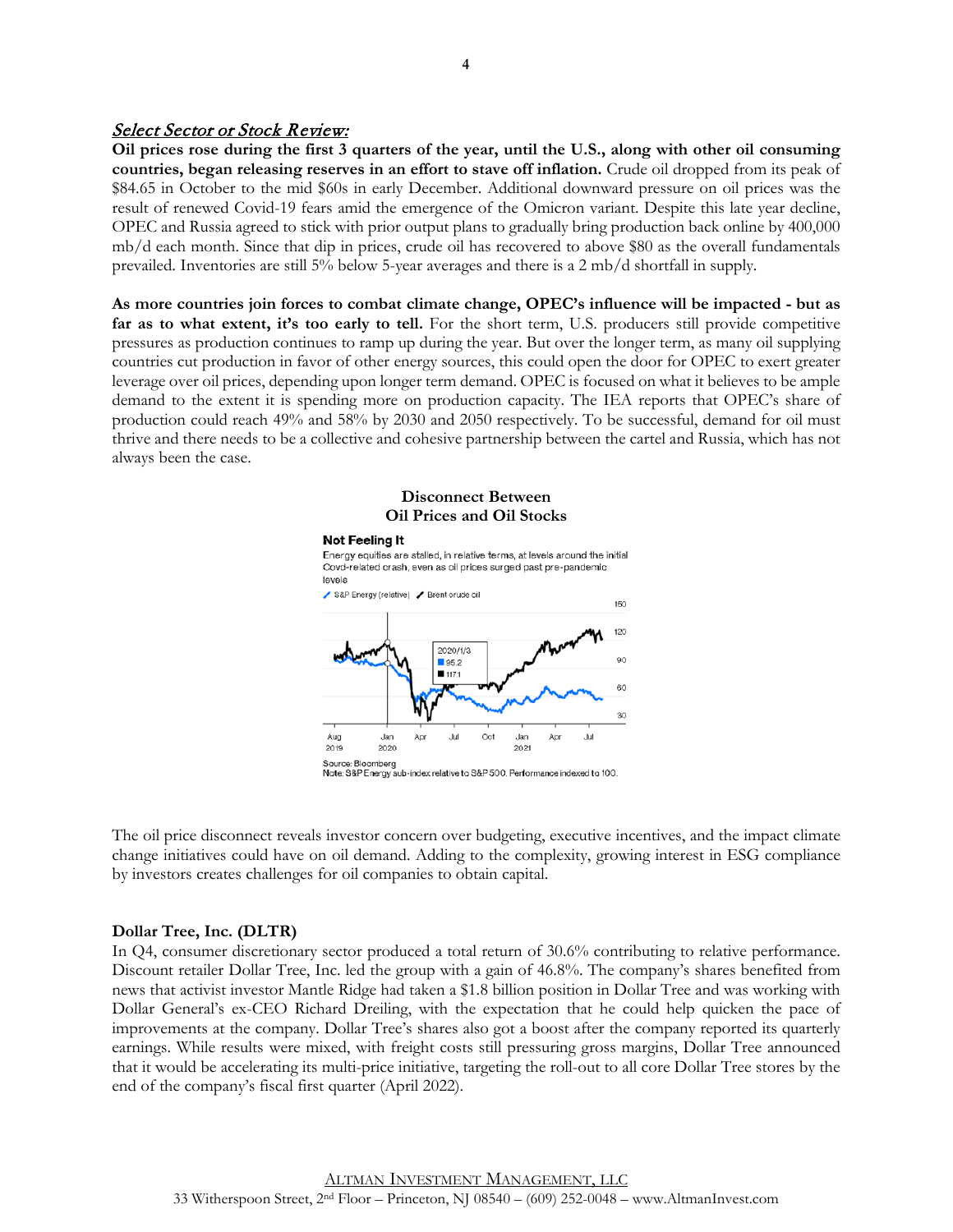#### Select Sector or Stock Review:

**Oil prices rose during the first 3 quarters of the year, until the U.S., along with other oil consuming countries, began releasing reserves in an effort to stave off inflation.** Crude oil dropped from its peak of \$84.65 in October to the mid \$60s in early December. Additional downward pressure on oil prices was the result of renewed Covid-19 fears amid the emergence of the Omicron variant. Despite this late year decline, OPEC and Russia agreed to stick with prior output plans to gradually bring production back online by 400,000 mb/d each month. Since that dip in prices, crude oil has recovered to above \$80 as the overall fundamentals prevailed. Inventories are still 5% below 5-year averages and there is a 2 mb/d shortfall in supply.

**As more countries join forces to combat climate change, OPEC's influence will be impacted - but as far as to what extent, it's too early to tell.** For the short term, U.S. producers still provide competitive pressures as production continues to ramp up during the year. But over the longer term, as many oil supplying countries cut production in favor of other energy sources, this could open the door for OPEC to exert greater leverage over oil prices, depending upon longer term demand. OPEC is focused on what it believes to be ample demand to the extent it is spending more on production capacity. The IEA reports that OPEC's share of production could reach 49% and 58% by 2030 and 2050 respectively. To be successful, demand for oil must thrive and there needs to be a collective and cohesive partnership between the cartel and Russia, which has not always been the case.

#### **Disconnect Between Oil Prices and Oil Stocks**

#### Not Feeling It

Energy equities are stalled, in relative terms, at levels around the initial Covd-related crash, even as oil prices surged past pre-pandemic levels



Note: S&P Energy sub-index relative to S&P 500. Performance indexed to 100

The oil price disconnect reveals investor concern over budgeting, executive incentives, and the impact climate change initiatives could have on oil demand. Adding to the complexity, growing interest in ESG compliance by investors creates challenges for oil companies to obtain capital.

#### **Dollar Tree, Inc. (DLTR)**

In Q4, consumer discretionary sector produced a total return of 30.6% contributing to relative performance. Discount retailer Dollar Tree, Inc. led the group with a gain of 46.8%. The company's shares benefited from news that activist investor Mantle Ridge had taken a \$1.8 billion position in Dollar Tree and was working with Dollar General's ex-CEO Richard Dreiling, with the expectation that he could help quicken the pace of improvements at the company. Dollar Tree's shares also got a boost after the company reported its quarterly earnings. While results were mixed, with freight costs still pressuring gross margins, Dollar Tree announced that it would be accelerating its multi-price initiative, targeting the roll-out to all core Dollar Tree stores by the end of the company's fiscal first quarter (April 2022).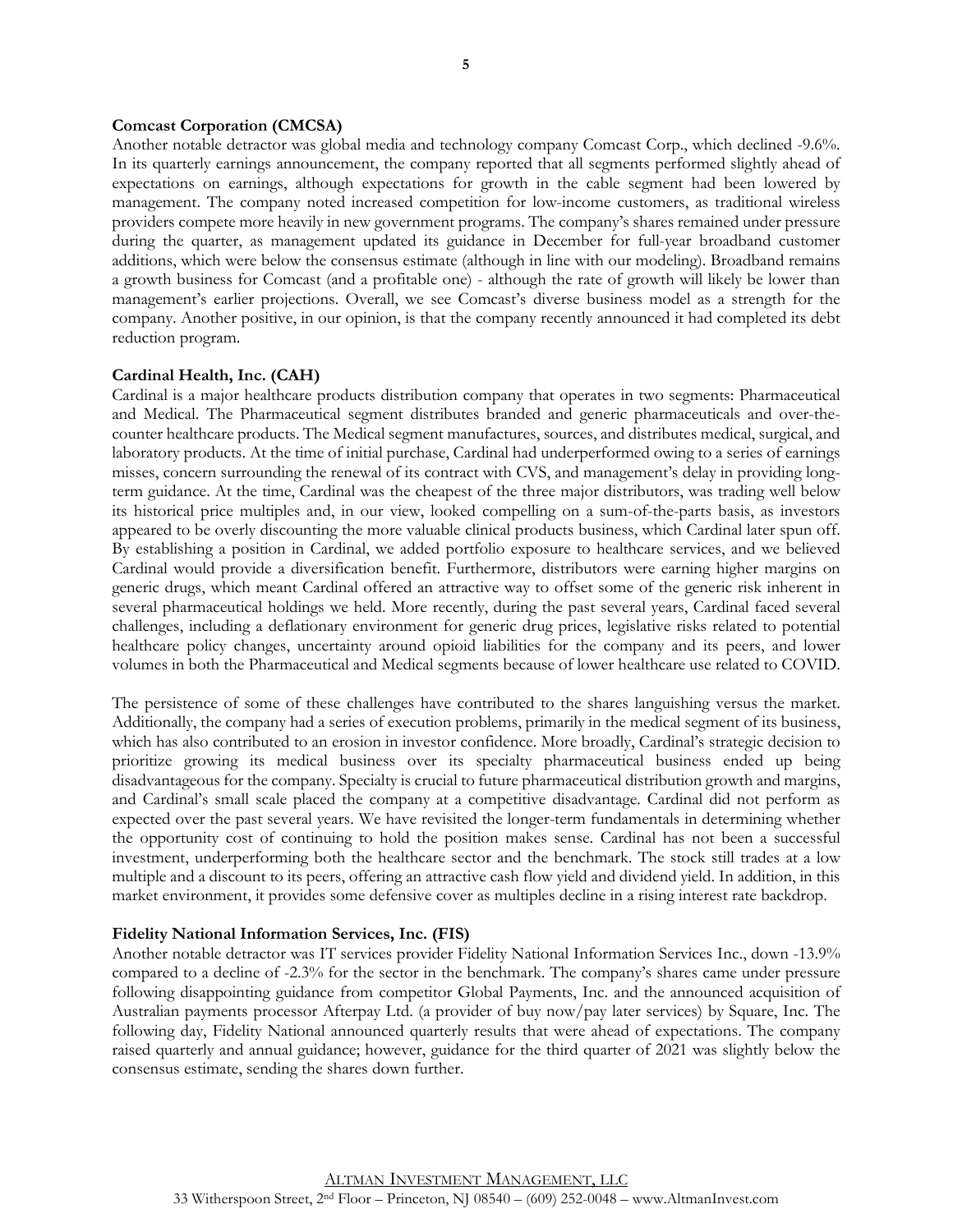#### **Comcast Corporation (CMCSA)**

Another notable detractor was global media and technology company Comcast Corp., which declined -9.6%. In its quarterly earnings announcement, the company reported that all segments performed slightly ahead of expectations on earnings, although expectations for growth in the cable segment had been lowered by management. The company noted increased competition for low-income customers, as traditional wireless providers compete more heavily in new government programs. The company's shares remained under pressure during the quarter, as management updated its guidance in December for full-year broadband customer additions, which were below the consensus estimate (although in line with our modeling). Broadband remains a growth business for Comcast (and a profitable one) - although the rate of growth will likely be lower than management's earlier projections. Overall, we see Comcast's diverse business model as a strength for the company. Another positive, in our opinion, is that the company recently announced it had completed its debt reduction program.

#### **Cardinal Health, Inc. (CAH)**

Cardinal is a major healthcare products distribution company that operates in two segments: Pharmaceutical and Medical. The Pharmaceutical segment distributes branded and generic pharmaceuticals and over-thecounter healthcare products. The Medical segment manufactures, sources, and distributes medical, surgical, and laboratory products. At the time of initial purchase, Cardinal had underperformed owing to a series of earnings misses, concern surrounding the renewal of its contract with CVS, and management's delay in providing longterm guidance. At the time, Cardinal was the cheapest of the three major distributors, was trading well below its historical price multiples and, in our view, looked compelling on a sum-of-the-parts basis, as investors appeared to be overly discounting the more valuable clinical products business, which Cardinal later spun off. By establishing a position in Cardinal, we added portfolio exposure to healthcare services, and we believed Cardinal would provide a diversification benefit. Furthermore, distributors were earning higher margins on generic drugs, which meant Cardinal offered an attractive way to offset some of the generic risk inherent in several pharmaceutical holdings we held. More recently, during the past several years, Cardinal faced several challenges, including a deflationary environment for generic drug prices, legislative risks related to potential healthcare policy changes, uncertainty around opioid liabilities for the company and its peers, and lower volumes in both the Pharmaceutical and Medical segments because of lower healthcare use related to COVID.

The persistence of some of these challenges have contributed to the shares languishing versus the market. Additionally, the company had a series of execution problems, primarily in the medical segment of its business, which has also contributed to an erosion in investor confidence. More broadly, Cardinal's strategic decision to prioritize growing its medical business over its specialty pharmaceutical business ended up being disadvantageous for the company. Specialty is crucial to future pharmaceutical distribution growth and margins, and Cardinal's small scale placed the company at a competitive disadvantage. Cardinal did not perform as expected over the past several years. We have revisited the longer-term fundamentals in determining whether the opportunity cost of continuing to hold the position makes sense. Cardinal has not been a successful investment, underperforming both the healthcare sector and the benchmark. The stock still trades at a low multiple and a discount to its peers, offering an attractive cash flow yield and dividend yield. In addition, in this market environment, it provides some defensive cover as multiples decline in a rising interest rate backdrop.

#### **Fidelity National Information Services, Inc. (FIS)**

Another notable detractor was IT services provider Fidelity National Information Services Inc., down -13.9% compared to a decline of -2.3% for the sector in the benchmark. The company's shares came under pressure following disappointing guidance from competitor Global Payments, Inc. and the announced acquisition of Australian payments processor Afterpay Ltd. (a provider of buy now/pay later services) by Square, Inc. The following day, Fidelity National announced quarterly results that were ahead of expectations. The company raised quarterly and annual guidance; however, guidance for the third quarter of 2021 was slightly below the consensus estimate, sending the shares down further.